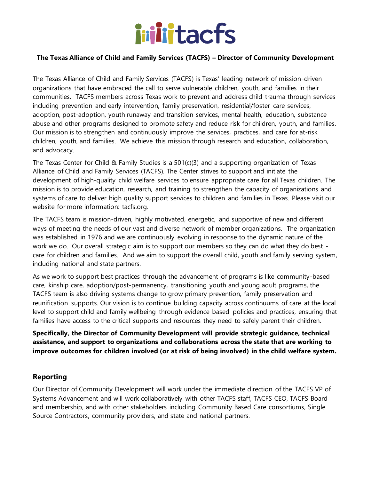

### **The Texas Alliance of Child and Family Services (TACFS) – Director of Community Development**

The Texas Alliance of Child and Family Services (TACFS) is Texas' leading network of mission-driven organizations that have embraced the call to serve vulnerable children, youth, and families in their communities. TACFS members across Texas work to prevent and address child trauma through services including prevention and early intervention, family preservation, residential/foster care services, adoption, post-adoption, youth runaway and transition services, mental health, education, substance abuse and other programs designed to promote safety and reduce risk for children, youth, and families. Our mission is to strengthen and continuously improve the services, practices, and care for at-risk children, youth, and families. We achieve this mission through research and education, collaboration, and advocacy.

The Texas Center for Child & Family Studies is a 501(c)(3) and a supporting organization of Texas Alliance of Child and Family Services (TACFS). The Center strives to support and initiate the development of high-quality child welfare services to ensure appropriate care for all Texas children. The mission is to provide education, research, and training to strengthen the capacity of organizations and systems of care to deliver high quality support services to children and families in Texas. Please visit our website for more information: tacfs.org.

The TACFS team is mission-driven, highly motivated, energetic, and supportive of new and different ways of meeting the needs of our vast and diverse network of member organizations. The organization was established in 1976 and we are continuously evolving in response to the dynamic nature of the work we do. Our overall strategic aim is to support our members so they can do what they do best care for children and families. And we aim to support the overall child, youth and family serving system, including national and state partners.

As we work to support best practices through the advancement of programs is like community-based care, kinship care, adoption/post-permanency, transitioning youth and young adult programs, the TACFS team is also driving systems change to grow primary prevention, family preservation and reunification supports. Our vision is to continue building capacity across continuums of care at the local level to support child and family wellbeing through evidence-based policies and practices, ensuring that families have access to the critical supports and resources they need to safely parent their children.

**Specifically, the Director of Community Development will provide strategic guidance, technical assistance, and support to organizations and collaborations across the state that are working to improve outcomes for children involved (or at risk of being involved) in the child welfare system.**

# **Reporting**

Our Director of Community Development will work under the immediate direction of the TACFS VP of Systems Advancement and will work collaboratively with other TACFS staff, TACFS CEO, TACFS Board and membership, and with other stakeholders including Community Based Care consortiums, Single Source Contractors, community providers, and state and national partners.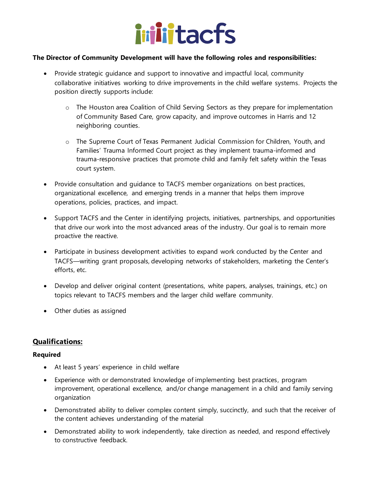

### **The Director of Community Development will have the following roles and responsibilities:**

- Provide strategic guidance and support to innovative and impactful local, community collaborative initiatives working to drive improvements in the child welfare systems. Projects the position directly supports include:
	- o The Houston area Coalition of Child Serving Sectors as they prepare for implementation of Community Based Care, grow capacity, and improve outcomes in Harris and 12 neighboring counties.
	- o The Supreme Court of Texas Permanent Judicial Commission for Children, Youth, and Families' Trauma Informed Court project as they implement trauma-informed and trauma-responsive practices that promote child and family felt safety within the Texas court system.
- Provide consultation and guidance to TACFS member organizations on best practices, organizational excellence, and emerging trends in a manner that helps them improve operations, policies, practices, and impact.
- Support TACFS and the Center in identifying projects, initiatives, partnerships, and opportunities that drive our work into the most advanced areas of the industry. Our goal is to remain more proactive the reactive.
- Participate in business development activities to expand work conducted by the Center and TACFS—writing grant proposals, developing networks of stakeholders, marketing the Center's efforts, etc.
- Develop and deliver original content (presentations, white papers, analyses, trainings, etc.) on topics relevant to TACFS members and the larger child welfare community.
- Other duties as assigned

# **Qualifications:**

### **Required**

- At least 5 years' experience in child welfare
- Experience with or demonstrated knowledge of implementing best practices, program improvement, operational excellence, and/or change management in a child and family serving organization
- Demonstrated ability to deliver complex content simply, succinctly, and such that the receiver of the content achieves understanding of the material
- Demonstrated ability to work independently, take direction as needed, and respond effectively to constructive feedback.